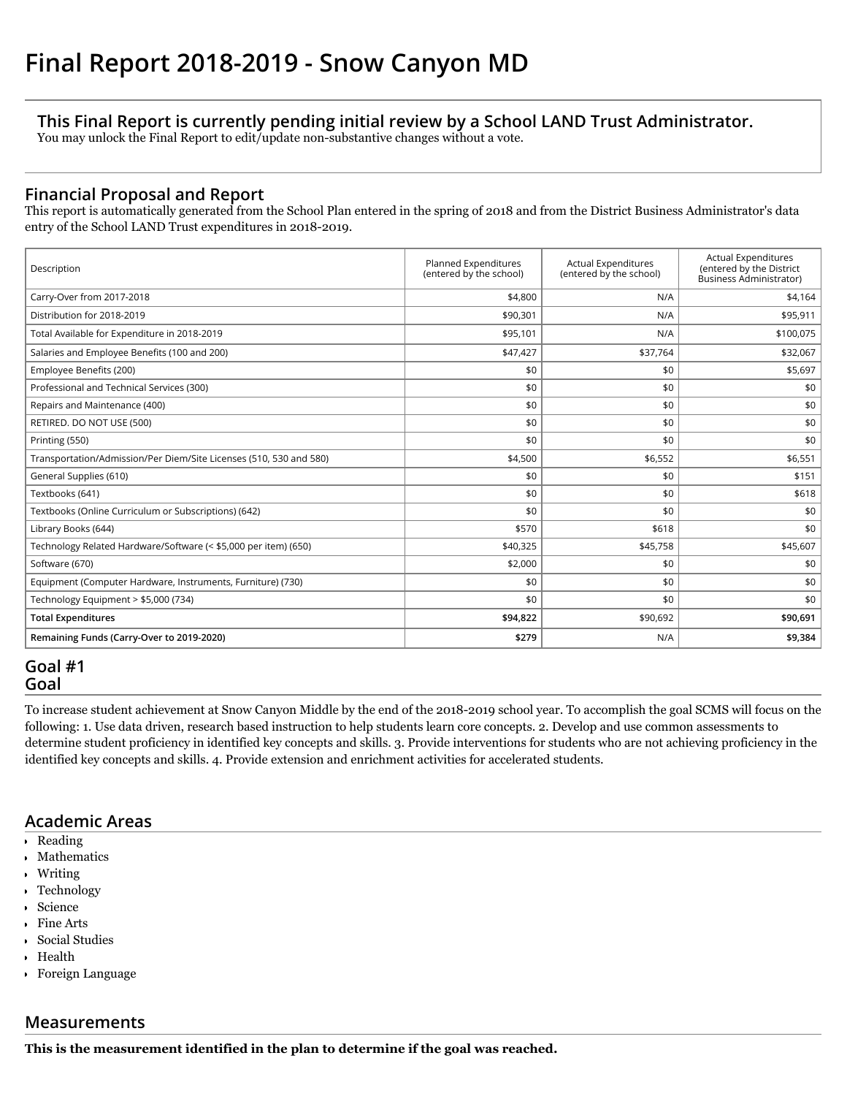# **This Final Report is currently pending initial review by a School LAND Trust Administrator.**

You may unlock the Final Report to edit/update non-substantive changes without a vote.

# **Financial Proposal and Report**

This report is automatically generated from the School Plan entered in the spring of 2018 and from the District Business Administrator's data entry of the School LAND Trust expenditures in 2018-2019.

| Description                                                        | Planned Expenditures<br>(entered by the school) | <b>Actual Expenditures</b><br>(entered by the school) | <b>Actual Expenditures</b><br>(entered by the District<br><b>Business Administrator)</b> |
|--------------------------------------------------------------------|-------------------------------------------------|-------------------------------------------------------|------------------------------------------------------------------------------------------|
| Carry-Over from 2017-2018                                          | \$4,800                                         | N/A                                                   | \$4,164                                                                                  |
| Distribution for 2018-2019                                         | \$90,301                                        | N/A                                                   | \$95,911                                                                                 |
| Total Available for Expenditure in 2018-2019                       | \$95,101                                        | N/A                                                   | \$100,075                                                                                |
| Salaries and Employee Benefits (100 and 200)                       | \$47,427                                        | \$37,764                                              | \$32,067                                                                                 |
| Employee Benefits (200)                                            | \$0                                             | \$0                                                   | \$5,697                                                                                  |
| Professional and Technical Services (300)                          | \$0                                             | \$0                                                   | \$0                                                                                      |
| Repairs and Maintenance (400)                                      | \$0                                             | \$0                                                   | \$0                                                                                      |
| RETIRED, DO NOT USE (500)                                          | \$0                                             | \$0                                                   | \$0                                                                                      |
| Printing (550)                                                     | \$0                                             | \$0                                                   | \$0                                                                                      |
| Transportation/Admission/Per Diem/Site Licenses (510, 530 and 580) | \$4,500                                         | \$6,552                                               | \$6,551                                                                                  |
| General Supplies (610)                                             | \$0                                             | \$0                                                   | \$151                                                                                    |
| Textbooks (641)                                                    | \$0                                             | \$0                                                   | \$618                                                                                    |
| Textbooks (Online Curriculum or Subscriptions) (642)               | \$0                                             | \$0                                                   | \$0                                                                                      |
| Library Books (644)                                                | \$570                                           | \$618                                                 | \$0                                                                                      |
| Technology Related Hardware/Software (< \$5,000 per item) (650)    | \$40,325                                        | \$45,758                                              | \$45,607                                                                                 |
| Software (670)                                                     | \$2,000                                         | \$0                                                   | \$0                                                                                      |
| Equipment (Computer Hardware, Instruments, Furniture) (730)        | \$0                                             | \$0                                                   | \$0                                                                                      |
| Technology Equipment > \$5,000 (734)                               | \$0                                             | \$0                                                   | \$0                                                                                      |
| <b>Total Expenditures</b>                                          | \$94,822                                        | \$90,692                                              | \$90,691                                                                                 |
| Remaining Funds (Carry-Over to 2019-2020)                          | \$279                                           | N/A                                                   | \$9,384                                                                                  |

# **Goal #1 Goal**

To increase student achievement at Snow Canyon Middle by the end of the 2018-2019 school year. To accomplish the goal SCMS will focus on the following: 1. Use data driven, research based instruction to help students learn core concepts. 2. Develop and use common assessments to determine student proficiency in identified key concepts and skills. 3. Provide interventions for students who are not achieving proficiency in the identified key concepts and skills. 4. Provide extension and enrichment activities for accelerated students.

## **Academic Areas**

- Reading
- Mathematics
- Writing
- Technology
- Science
- Fine Arts
- Social Studies
- Health
- Foreign Language

# **Measurements**

**This is the measurement identified in the plan to determine if the goal was reached.**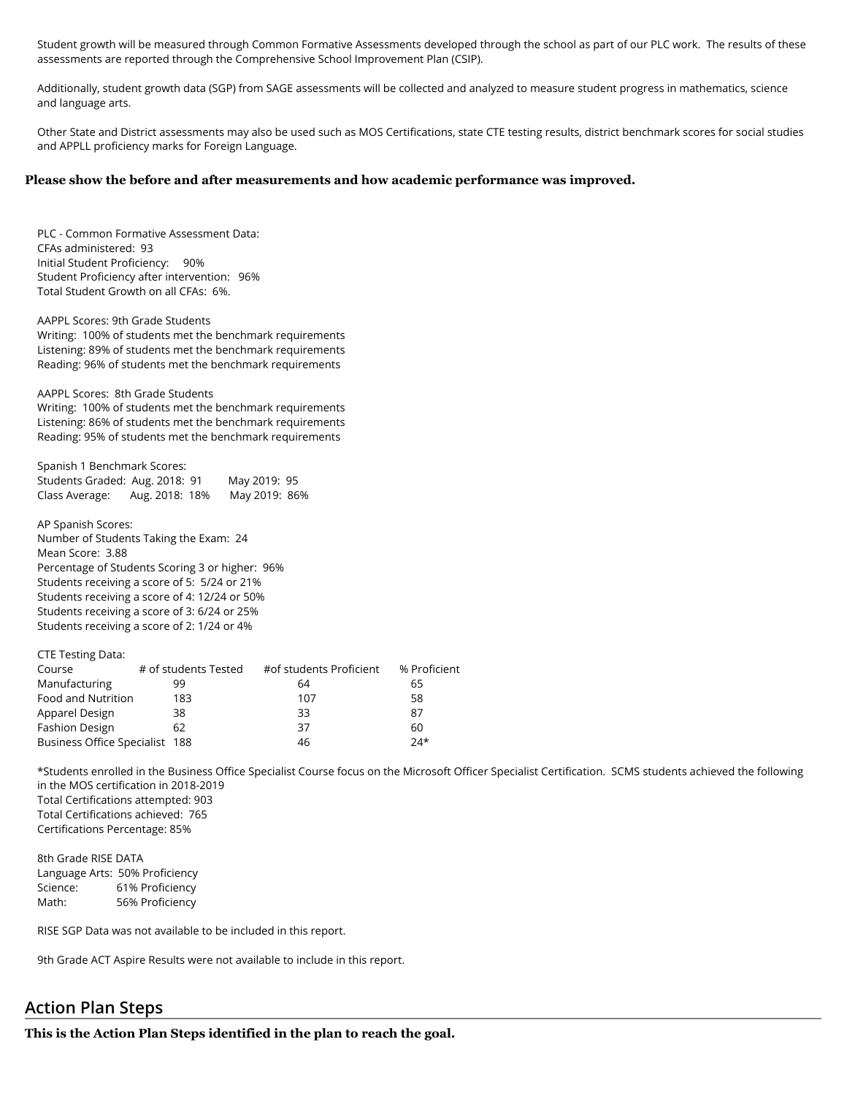Student growth will be measured through Common Formative Assessments developed through the school as part of our PLC work. The results of these assessments are reported through the Comprehensive School Improvement Plan (CSIP).

Additionally, student growth data (SGP) from SAGE assessments will be collected and analyzed to measure student progress in mathematics, science and language arts.

Other State and District assessments may also be used such as MOS Certifications, state CTE testing results, district benchmark scores for social studies and APPLL proficiency marks for Foreign Language.

#### **Please show the before and after measurements and how academic performance was improved.**

PLC - Common Formative Assessment Data: CFAs administered: 93 Initial Student Proficiency: 90% Student Proficiency after intervention: 96% Total Student Growth on all CFAs: 6%.

AAPPL Scores: 9th Grade Students Writing: 100% of students met the benchmark requirements Listening: 89% of students met the benchmark requirements Reading: 96% of students met the benchmark requirements

AAPPL Scores: 8th Grade Students Writing: 100% of students met the benchmark requirements Listening: 86% of students met the benchmark requirements Reading: 95% of students met the benchmark requirements

Spanish 1 Benchmark Scores: Students Graded: Aug. 2018: 91 May 2019: 95 Class Average: Aug. 2018: 18% May 2019: 86%

AP Spanish Scores: Number of Students Taking the Exam: 24 Mean Score: 3.88 Percentage of Students Scoring 3 or higher: 96% Students receiving a score of 5: 5/24 or 21% Students receiving a score of 4: 12/24 or 50% Students receiving a score of 3: 6/24 or 25% Students receiving a score of 2: 1/24 or 4%

| CIE TESUITE Data.              |                      |                         |              |
|--------------------------------|----------------------|-------------------------|--------------|
| Course                         | # of students Tested | #of students Proficient | % Proficient |
| Manufacturing                  | 99                   | 64                      | 65           |
| Food and Nutrition             | 183                  | 107                     | 58           |
| Apparel Design                 | 38                   | 33                      | 87           |
| <b>Fashion Design</b>          | 62                   | 37                      | 60           |
| Business Office Specialist 188 |                      | 46                      | $74*$        |

\*Students enrolled in the Business Office Specialist Course focus on the Microsoft Officer Specialist Certification. SCMS students achieved the following in the MOS certification in 2018-2019 Total Certifications attempted: 903 Total Certifications achieved: 765 Certifications Percentage: 85%

8th Grade RISE DATA Language Arts: 50% Proficiency Science: 61% Proficiency Math: 56% Proficiency

CTE Testing Data:

RISE SGP Data was not available to be included in this report.

9th Grade ACT Aspire Results were not available to include in this report.

## **Action Plan Steps**

**This is the Action Plan Steps identified in the plan to reach the goal.**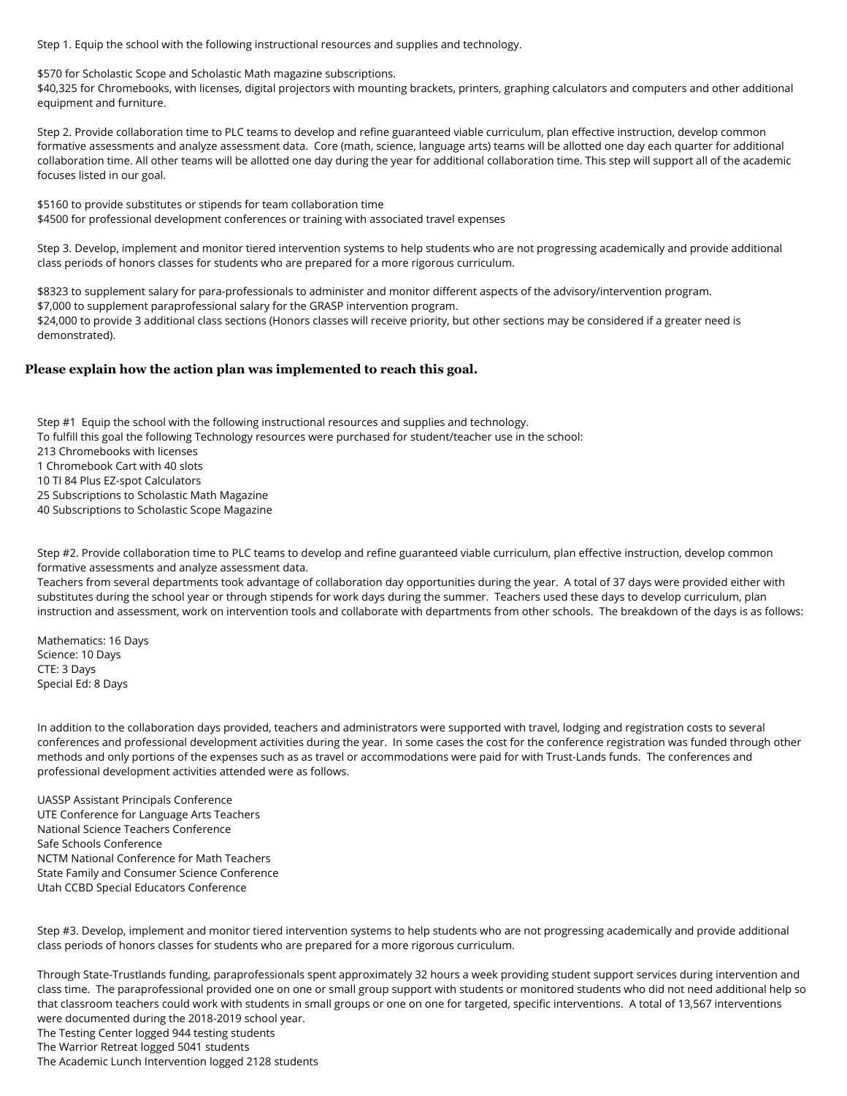Step 1. Equip the school with the following instructional resources and supplies and technology.

\$570 for Scholastic Scope and Scholastic Math magazine subscriptions.

\$40,325 for Chromebooks, with licenses, digital projectors with mounting brackets, printers, graphing calculators and computers and other additional equipment and furniture.

Step 2. Provide collaboration time to PLC teams to develop and refine guaranteed viable curriculum, plan effective instruction, develop common formative assessments and analyze assessment data. Core (math, science, language arts) teams will be allotted one day each quarter for additional collaboration time. All other teams will be allotted one day during the year for additional collaboration time. This step will support all of the academic focuses listed in our goal.

\$5160 to provide substitutes or stipends for team collaboration time \$4500 for professional development conferences or training with associated travel expenses

Step 3. Develop, implement and monitor tiered intervention systems to help students who are not progressing academically and provide additional class periods of honors classes for students who are prepared for a more rigorous curriculum.

\$8323 to supplement salary for para-professionals to administer and monitor different aspects of the advisory/intervention program. \$7,000 to supplement paraprofessional salary for the GRASP intervention program. \$24,000 to provide 3 additional class sections (Honors classes will receive priority, but other sections may be considered if a greater need is demonstrated).

### **Please explain how the action plan was implemented to reach this goal.**

Step #1 Equip the school with the following instructional resources and supplies and technology. To fulfill this goal the following Technology resources were purchased for student/teacher use in the school: 213 Chromebooks with licenses 1 Chromebook Cart with 40 slots 10 TI 84 Plus EZ-spot Calculators 25 Subscriptions to Scholastic Math Magazine 40 Subscriptions to Scholastic Scope Magazine

Step #2. Provide collaboration time to PLC teams to develop and refine guaranteed viable curriculum, plan effective instruction, develop common formative assessments and analyze assessment data.

Teachers from several departments took advantage of collaboration day opportunities during the year. A total of 37 days were provided either with substitutes during the school year or through stipends for work days during the summer. Teachers used these days to develop curriculum, plan instruction and assessment, work on intervention tools and collaborate with departments from other schools. The breakdown of the days is as follows:

Mathematics: 16 Days Science: 10 Days CTE: 3 Days Special Ed: 8 Days

In addition to the collaboration days provided, teachers and administrators were supported with travel, lodging and registration costs to several conferences and professional development activities during the year. In some cases the cost for the conference registration was funded through other methods and only portions of the expenses such as as travel or accommodations were paid for with Trust-Lands funds. The conferences and professional development activities attended were as follows.

UASSP Assistant Principals Conference UTE Conference for Language Arts Teachers National Science Teachers Conference Safe Schools Conference NCTM National Conference for Math Teachers State Family and Consumer Science Conference Utah CCBD Special Educators Conference

Step #3. Develop, implement and monitor tiered intervention systems to help students who are not progressing academically and provide additional class periods of honors classes for students who are prepared for a more rigorous curriculum.

Through State-Trustlands funding, paraprofessionals spent approximately 32 hours a week providing student support services during intervention and class time. The paraprofessional provided one on one or small group support with students or monitored students who did not need additional help so that classroom teachers could work with students in small groups or one on one for targeted, specific interventions. A total of 13,567 interventions were documented during the 2018-2019 school year.

The Testing Center logged 944 testing students

The Warrior Retreat logged 5041 students

The Academic Lunch Intervention logged 2128 students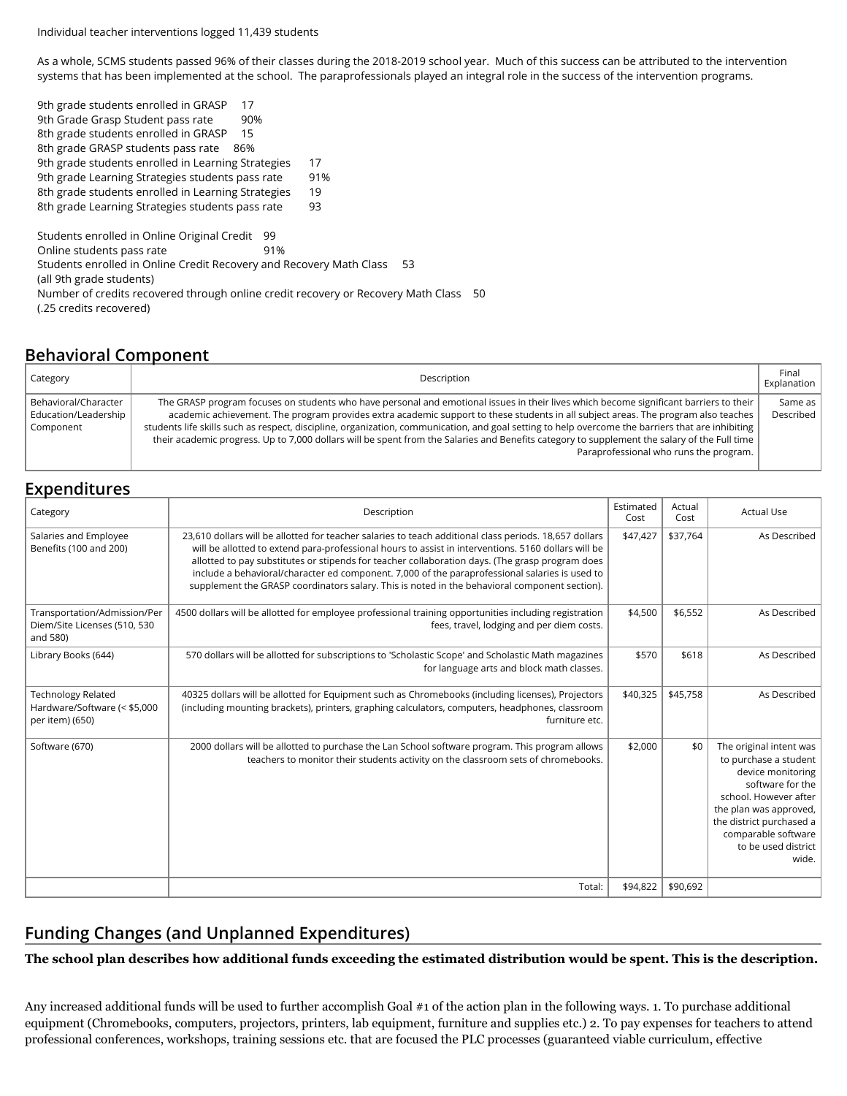Individual teacher interventions logged 11,439 students

As a whole, SCMS students passed 96% of their classes during the 2018-2019 school year. Much of this success can be attributed to the intervention systems that has been implemented at the school. The paraprofessionals played an integral role in the success of the intervention programs.

9th grade students enrolled in GRASP 17 9th Grade Grasp Student pass rate 90% 8th grade students enrolled in GRASP 15 8th grade GRASP students pass rate 86% 9th grade students enrolled in Learning Strategies 17 9th grade Learning Strategies students pass rate 91% 8th grade students enrolled in Learning Strategies 19 8th grade Learning Strategies students pass rate 93 Students enrolled in Online Original Credit 99 Online students pass rate 91% Students enrolled in Online Credit Recovery and Recovery Math Class 53 (all 9th grade students) Number of credits recovered through online credit recovery or Recovery Math Class 50 (.25 credits recovered)

# **Behavioral Component**

| Category                                                  | Description                                                                                                                                                                                                                                                                                                                                                                                                                                                                                                                                                                                                                 | Final<br>Explanation |
|-----------------------------------------------------------|-----------------------------------------------------------------------------------------------------------------------------------------------------------------------------------------------------------------------------------------------------------------------------------------------------------------------------------------------------------------------------------------------------------------------------------------------------------------------------------------------------------------------------------------------------------------------------------------------------------------------------|----------------------|
| Behavioral/Character<br>Education/Leadership<br>Component | The GRASP program focuses on students who have personal and emotional issues in their lives which become significant barriers to their<br>academic achievement. The program provides extra academic support to these students in all subject areas. The program also teaches<br>students life skills such as respect, discipline, organization, communication, and goal setting to help overcome the barriers that are inhibiting<br>their academic progress. Up to 7,000 dollars will be spent from the Salaries and Benefits category to supplement the salary of the Full time<br>Paraprofessional who runs the program. | Same as<br>Described |

# **Expenditures**

| Category                                                                     | Description                                                                                                                                                                                                                                                                                                                                                                                                                                                                                                         | Estimated<br>Cost | Actual<br>Cost | <b>Actual Use</b>                                                                                                                                                                                                               |
|------------------------------------------------------------------------------|---------------------------------------------------------------------------------------------------------------------------------------------------------------------------------------------------------------------------------------------------------------------------------------------------------------------------------------------------------------------------------------------------------------------------------------------------------------------------------------------------------------------|-------------------|----------------|---------------------------------------------------------------------------------------------------------------------------------------------------------------------------------------------------------------------------------|
| Salaries and Employee<br>Benefits (100 and 200)                              | 23,610 dollars will be allotted for teacher salaries to teach additional class periods. 18,657 dollars<br>will be allotted to extend para-professional hours to assist in interventions. 5160 dollars will be<br>allotted to pay substitutes or stipends for teacher collaboration days. (The grasp program does<br>include a behavioral/character ed component. 7,000 of the paraprofessional salaries is used to<br>supplement the GRASP coordinators salary. This is noted in the behavioral component section). | \$47,427          | \$37,764       | As Described                                                                                                                                                                                                                    |
| Transportation/Admission/Per<br>Diem/Site Licenses (510, 530<br>and 580)     | 4500 dollars will be allotted for employee professional training opportunities including registration<br>fees, travel, lodging and per diem costs.                                                                                                                                                                                                                                                                                                                                                                  | \$4,500           | \$6,552        | As Described                                                                                                                                                                                                                    |
| Library Books (644)                                                          | 570 dollars will be allotted for subscriptions to 'Scholastic Scope' and Scholastic Math magazines<br>for language arts and block math classes.                                                                                                                                                                                                                                                                                                                                                                     | \$570             | \$618          | As Described                                                                                                                                                                                                                    |
| <b>Technology Related</b><br>Hardware/Software (< \$5,000<br>per item) (650) | 40325 dollars will be allotted for Equipment such as Chromebooks (including licenses), Projectors<br>(including mounting brackets), printers, graphing calculators, computers, headphones, classroom<br>furniture etc.                                                                                                                                                                                                                                                                                              | \$40,325          | \$45,758       | As Described                                                                                                                                                                                                                    |
| Software (670)                                                               | 2000 dollars will be allotted to purchase the Lan School software program. This program allows<br>teachers to monitor their students activity on the classroom sets of chromebooks.                                                                                                                                                                                                                                                                                                                                 | \$2.000           | \$0            | The original intent was<br>to purchase a student<br>device monitoring<br>software for the<br>school. However after<br>the plan was approved,<br>the district purchased a<br>comparable software<br>to be used district<br>wide. |
|                                                                              | Total:                                                                                                                                                                                                                                                                                                                                                                                                                                                                                                              | \$94,822          | \$90,692       |                                                                                                                                                                                                                                 |

# **Funding Changes (and Unplanned Expenditures)**

**The school plan describes how additional funds exceeding the estimated distribution would be spent. This is the description.**

Any increased additional funds will be used to further accomplish Goal #1 of the action plan in the following ways. 1. To purchase additional equipment (Chromebooks, computers, projectors, printers, lab equipment, furniture and supplies etc.) 2. To pay expenses for teachers to attend professional conferences, workshops, training sessions etc. that are focused the PLC processes (guaranteed viable curriculum, effective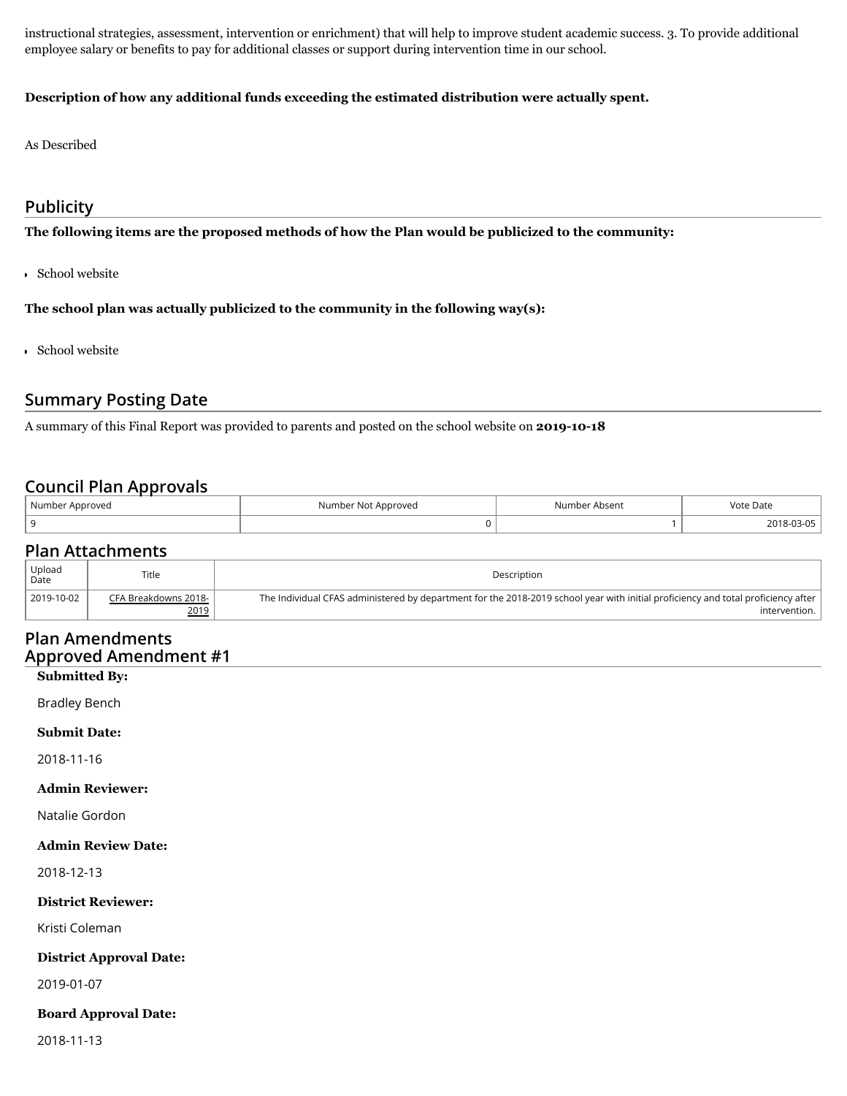instructional strategies, assessment, intervention or enrichment) that will help to improve student academic success. 3. To provide additional employee salary or benefits to pay for additional classes or support during intervention time in our school.

## **Description of how any additional funds exceeding the estimated distribution were actually spent.**

As Described

## **Publicity**

**The following items are the proposed methods of how the Plan would be publicized to the community:**

School website

**The school plan was actually publicized to the community in the following way(s):**

School website

## **Summary Posting Date**

A summary of this Final Report was provided to parents and posted on the school website on **2019-10-18**

## **Council Plan Approvals**

| Number Approved | Number Not Approved | Number Absent | Vote Date |
|-----------------|---------------------|---------------|-----------|
|                 |                     |               | 2018-03-u |

## **Plan Attachments**

| Upload<br>Date | Title                | Description                                                                                                                       |
|----------------|----------------------|-----------------------------------------------------------------------------------------------------------------------------------|
| 2019-10-02     | CFA Breakdowns 2018- | The Individual CFAS administered by department for the 2018-2019 school year with initial proficiency and total proficiency after |
|                | 2019                 | intervention. I                                                                                                                   |

## **Plan Amendments Approved Amendment #1**

### **Submitted By:**

Bradley Bench

## **Submit Date:**

2018-11-16

### **Admin Reviewer:**

Natalie Gordon

## **Admin Review Date:**

2018-12-13

### **District Reviewer:**

Kristi Coleman

## **District Approval Date:**

2019-01-07

## **Board Approval Date:**

2018-11-13